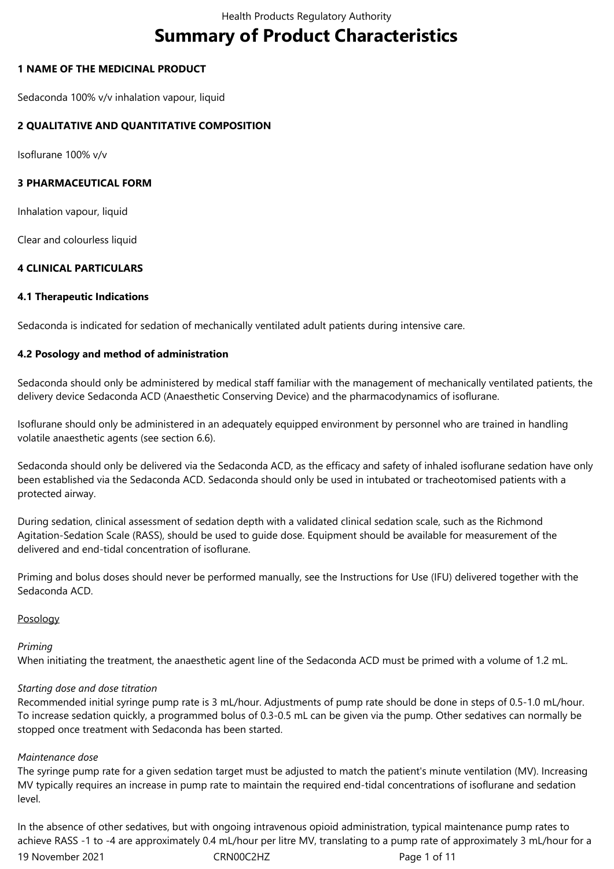# **Summary of Product Characteristics**

## **1 NAME OF THE MEDICINAL PRODUCT**

Sedaconda 100% v/v inhalation vapour, liquid

## **2 QUALITATIVE AND QUANTITATIVE COMPOSITION**

Isoflurane 100% v/v

## **3 PHARMACEUTICAL FORM**

Inhalation vapour, liquid

Clear and colourless liquid

## **4 CLINICAL PARTICULARS**

## **4.1 Therapeutic Indications**

Sedaconda is indicated for sedation of mechanically ventilated adult patients during intensive care.

## **4.2 Posology and method of administration**

Sedaconda should only be administered by medical staff familiar with the management of mechanically ventilated patients, the delivery device Sedaconda ACD (Anaesthetic Conserving Device) and the pharmacodynamics of isoflurane.

Isoflurane should only be administered in an adequately equipped environment by personnel who are trained in handling volatile anaesthetic agents (see section 6.6).

Sedaconda should only be delivered via the Sedaconda ACD, as the efficacy and safety of inhaled isoflurane sedation have only been established via the Sedaconda ACD. Sedaconda should only be used in intubated or tracheotomised patients with a protected airway.

During sedation, clinical assessment of sedation depth with a validated clinical sedation scale, such as the Richmond Agitation-Sedation Scale (RASS), should be used to guide dose. Equipment should be available for measurement of the delivered and end-tidal concentration of isoflurane.

Priming and bolus doses should never be performed manually, see the Instructions for Use (IFU) delivered together with the Sedaconda ACD.

#### Posology

## *Priming*

When initiating the treatment, the anaesthetic agent line of the Sedaconda ACD must be primed with a volume of 1.2 mL.

## *Starting dose and dose titration*

Recommended initial syringe pump rate is 3 mL/hour. Adjustments of pump rate should be done in steps of 0.5-1.0 mL/hour. To increase sedation quickly, a programmed bolus of 0.3‑0.5 mL can be given via the pump. Other sedatives can normally be stopped once treatment with Sedaconda has been started.

#### *Maintenance dose*

The syringe pump rate for a given sedation target must be adjusted to match the patient's minute ventilation (MV). Increasing MV typically requires an increase in pump rate to maintain the required end-tidal concentrations of isoflurane and sedation level.

19 November 2021 CRN00C2HZ Page 1 of 11 In the absence of other sedatives, but with ongoing intravenous opioid administration, typical maintenance pump rates to achieve RASS -1 to -4 are approximately 0.4 mL/hour per litre MV, translating to a pump rate of approximately 3 mL/hour for a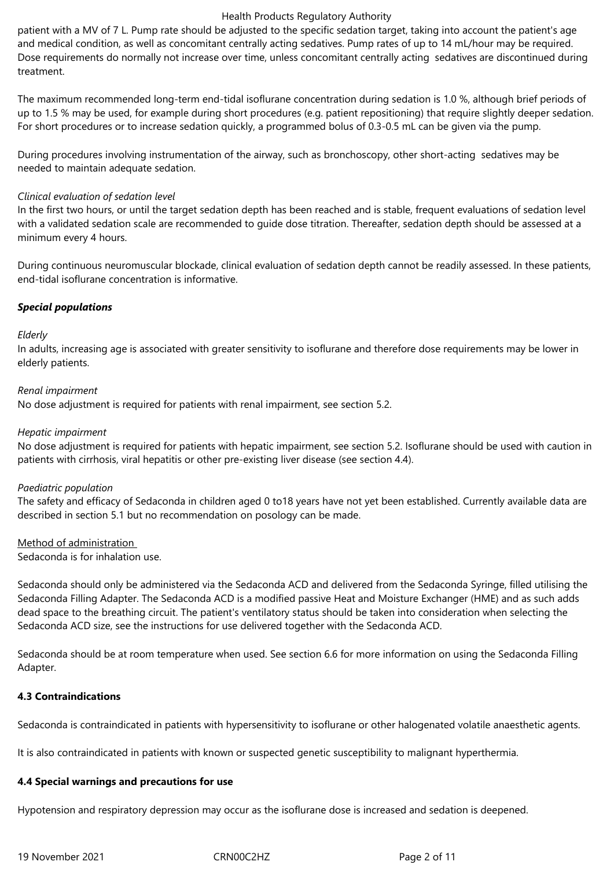patient with a MV of 7 L. Pump rate should be adjusted to the specific sedation target, taking into account the patient's age and medical condition, as well as concomitant centrally acting sedatives. Pump rates of up to 14 mL/hour may be required. Dose requirements do normally not increase over time, unless concomitant centrally acting sedatives are discontinued during treatment.

The maximum recommended long-term end-tidal isoflurane concentration during sedation is 1.0 %, although brief periods of up to 1.5 % may be used, for example during short procedures (e.g. patient repositioning) that require slightly deeper sedation. For short procedures or to increase sedation quickly, a programmed bolus of 0.3‑0.5 mL can be given via the pump.

During procedures involving instrumentation of the airway, such as bronchoscopy, other short-acting sedatives may be needed to maintain adequate sedation.

#### *Clinical evaluation of sedation level*

In the first two hours, or until the target sedation depth has been reached and is stable, frequent evaluations of sedation level with a validated sedation scale are recommended to guide dose titration. Thereafter, sedation depth should be assessed at a minimum every 4 hours.

During continuous neuromuscular blockade, clinical evaluation of sedation depth cannot be readily assessed. In these patients, end-tidal isoflurane concentration is informative.

#### *Special populations*

#### *Elderly*

In adults, increasing age is associated with greater sensitivity to isoflurane and therefore dose requirements may be lower in elderly patients.

#### *Renal impairment*

No dose adjustment is required for patients with renal impairment, see section 5.2.

#### *Hepatic impairment*

No dose adjustment is required for patients with hepatic impairment, see section 5.2. Isoflurane should be used with caution in patients with cirrhosis, viral hepatitis or other pre-existing liver disease (see section 4.4).

#### *Paediatric population*

The safety and efficacy of Sedaconda in children aged 0 to18 years have not yet been established. Currently available data are described in section 5.1 but no recommendation on posology can be made.

#### Method of administration

Sedaconda is for inhalation use.

Sedaconda should only be administered via the Sedaconda ACD and delivered from the Sedaconda Syringe, filled utilising the Sedaconda Filling Adapter. The Sedaconda ACD is a modified passive Heat and Moisture Exchanger (HME) and as such adds dead space to the breathing circuit. The patient's ventilatory status should be taken into consideration when selecting the Sedaconda ACD size, see the instructions for use delivered together with the Sedaconda ACD.

Sedaconda should be at room temperature when used. See section 6.6 for more information on using the Sedaconda Filling Adapter.

#### **4.3 Contraindications**

Sedaconda is contraindicated in patients with hypersensitivity to isoflurane or other halogenated volatile anaesthetic agents.

It is also contraindicated in patients with known or suspected genetic susceptibility to malignant hyperthermia.

#### **4.4 Special warnings and precautions for use**

Hypotension and respiratory depression may occur as the isoflurane dose is increased and sedation is deepened.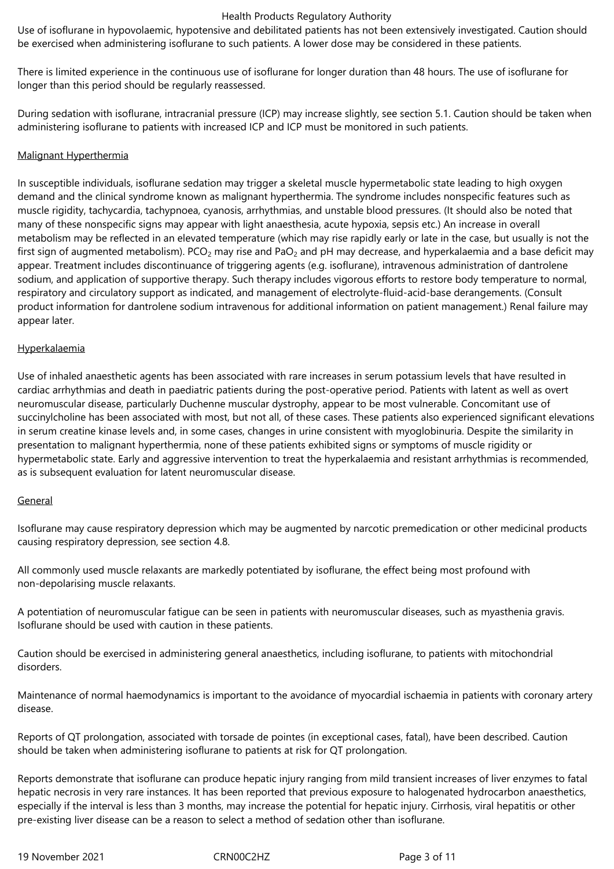Use of isoflurane in hypovolaemic, hypotensive and debilitated patients has not been extensively investigated. Caution should be exercised when administering isoflurane to such patients. A lower dose may be considered in these patients.

There is limited experience in the continuous use of isoflurane for longer duration than 48 hours. The use of isoflurane for longer than this period should be regularly reassessed.

During sedation with isoflurane, intracranial pressure (ICP) may increase slightly, see section 5.1. Caution should be taken when administering isoflurane to patients with increased ICP and ICP must be monitored in such patients.

#### Malignant Hyperthermia

In susceptible individuals, isoflurane sedation may trigger a skeletal muscle hypermetabolic state leading to high oxygen demand and the clinical syndrome known as malignant hyperthermia. The syndrome includes nonspecific features such as muscle rigidity, tachycardia, tachypnoea, cyanosis, arrhythmias, and unstable blood pressures. (It should also be noted that many of these nonspecific signs may appear with light anaesthesia, acute hypoxia, sepsis etc.) An increase in overall metabolism may be reflected in an elevated temperature (which may rise rapidly early or late in the case, but usually is not the first sign of augmented metabolism). PCO<sub>2</sub> may rise and PaO<sub>2</sub> and pH may decrease, and hyperkalaemia and a base deficit may appear. Treatment includes discontinuance of triggering agents (e.g. isoflurane), intravenous administration of dantrolene sodium, and application of supportive therapy. Such therapy includes vigorous efforts to restore body temperature to normal, respiratory and circulatory support as indicated, and management of electrolyte-fluid-acid-base derangements. (Consult product information for dantrolene sodium intravenous for additional information on patient management.) Renal failure may appear later.

#### Hyperkalaemia

Use of inhaled anaesthetic agents has been associated with rare increases in serum potassium levels that have resulted in cardiac arrhythmias and death in paediatric patients during the post-operative period. Patients with latent as well as overt neuromuscular disease, particularly Duchenne muscular dystrophy, appear to be most vulnerable. Concomitant use of succinylcholine has been associated with most, but not all, of these cases. These patients also experienced significant elevations in serum creatine kinase levels and, in some cases, changes in urine consistent with myoglobinuria. Despite the similarity in presentation to malignant hyperthermia, none of these patients exhibited signs or symptoms of muscle rigidity or hypermetabolic state. Early and aggressive intervention to treat the hyperkalaemia and resistant arrhythmias is recommended, as is subsequent evaluation for latent neuromuscular disease.

#### General

Isoflurane may cause respiratory depression which may be augmented by narcotic premedication or other medicinal products causing respiratory depression, see section 4.8.

All commonly used muscle relaxants are markedly potentiated by isoflurane, the effect being most profound with non-depolarising muscle relaxants.

A potentiation of neuromuscular fatigue can be seen in patients with neuromuscular diseases, such as myasthenia gravis. Isoflurane should be used with caution in these patients.

Caution should be exercised in administering general anaesthetics, including isoflurane, to patients with mitochondrial disorders.

Maintenance of normal haemodynamics is important to the avoidance of myocardial ischaemia in patients with coronary artery disease.

Reports of QT prolongation, associated with torsade de pointes (in exceptional cases, fatal), have been described. Caution should be taken when administering isoflurane to patients at risk for QT prolongation.

Reports demonstrate that isoflurane can produce hepatic injury ranging from mild transient increases of liver enzymes to fatal hepatic necrosis in very rare instances. It has been reported that previous exposure to halogenated hydrocarbon anaesthetics, especially if the interval is less than 3 months, may increase the potential for hepatic injury. Cirrhosis, viral hepatitis or other pre-existing liver disease can be a reason to select a method of sedation other than isoflurane.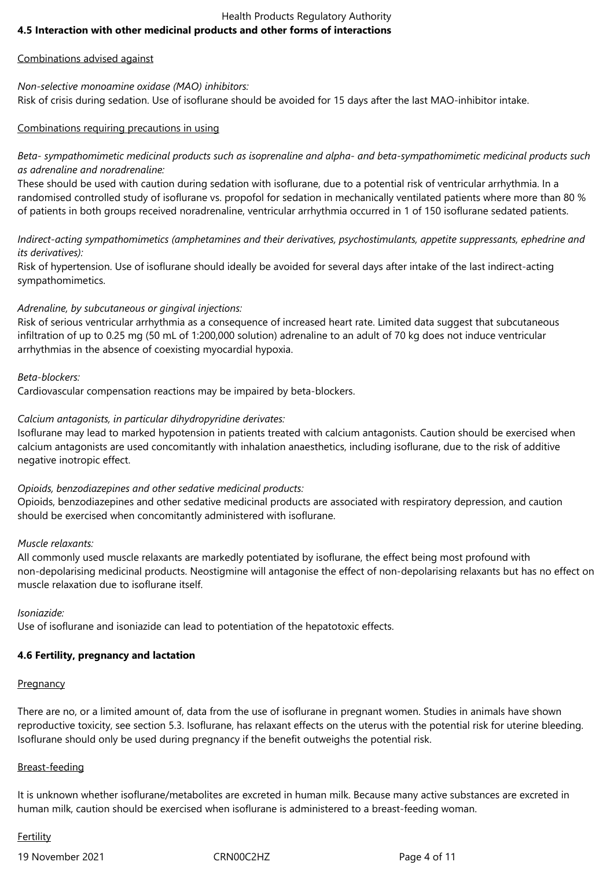## Health Products Regulatory Authority **4.5 Interaction with other medicinal products and other forms of interactions**

## Combinations advised against

#### *Non-selective monoamine oxidase (MAO) inhibitors:* Risk of crisis during sedation. Use of isoflurane should be avoided for 15 days after the last MAO-inhibitor intake.

## Combinations requiring precautions in using

## *Beta- sympathomimetic medicinal products such as isoprenaline and alpha- and beta-sympathomimetic medicinal products such as adrenaline and noradrenaline:*

These should be used with caution during sedation with isoflurane, due to a potential risk of ventricular arrhythmia. In a randomised controlled study of isoflurane vs. propofol for sedation in mechanically ventilated patients where more than 80 % of patients in both groups received noradrenaline, ventricular arrhythmia occurred in 1 of 150 isoflurane sedated patients.

*Indirect-acting sympathomimetics (amphetamines and their derivatives, psychostimulants, appetite suppressants, ephedrine and its derivatives):* 

Risk of hypertension. Use of isoflurane should ideally be avoided for several days after intake of the last indirect-acting sympathomimetics.

## *Adrenaline, by subcutaneous or gingival injections:*

Risk of serious ventricular arrhythmia as a consequence of increased heart rate. Limited data suggest that subcutaneous infiltration of up to 0.25 mg (50 mL of 1:200,000 solution) adrenaline to an adult of 70 kg does not induce ventricular arrhythmias in the absence of coexisting myocardial hypoxia.

## *Beta-blockers:*

Cardiovascular compensation reactions may be impaired by beta-blockers.

## *Calcium antagonists, in particular dihydropyridine derivates:*

Isoflurane may lead to marked hypotension in patients treated with calcium antagonists. Caution should be exercised when calcium antagonists are used concomitantly with inhalation anaesthetics, including isoflurane, due to the risk of additive negative inotropic effect.

#### *Opioids, benzodiazepines and other sedative medicinal products:*

Opioids, benzodiazepines and other sedative medicinal products are associated with respiratory depression, and caution should be exercised when concomitantly administered with isoflurane.

#### *Muscle relaxants:*

All commonly used muscle relaxants are markedly potentiated by isoflurane, the effect being most profound with non-depolarising medicinal products. Neostigmine will antagonise the effect of non-depolarising relaxants but has no effect on muscle relaxation due to isoflurane itself.

*Isoniazide:*

Use of isoflurane and isoniazide can lead to potentiation of the hepatotoxic effects.

## **4.6 Fertility, pregnancy and lactation**

## **Pregnancy**

There are no, or a limited amount of, data from the use of isoflurane in pregnant women. Studies in animals have shown reproductive toxicity, see section 5.3. Isoflurane, has relaxant effects on the uterus with the potential risk for uterine bleeding. Isoflurane should only be used during pregnancy if the benefit outweighs the potential risk.

#### Breast-feeding

It is unknown whether isoflurane/metabolites are excreted in human milk. Because many active substances are excreted in human milk, caution should be exercised when isoflurane is administered to a breast-feeding woman.

## **Fertility**

19 November 2021 CRN00C2HZ Page 4 of 11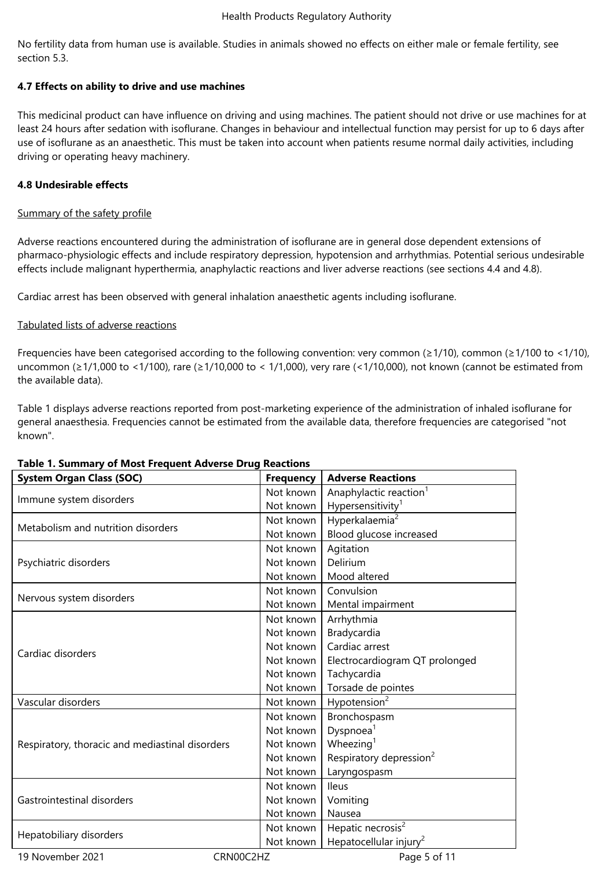No fertility data from human use is available. Studies in animals showed no effects on either male or female fertility, see section 5.3.

## **4.7 Effects on ability to drive and use machines**

This medicinal product can have influence on driving and using machines. The patient should not drive or use machines for at least 24 hours after sedation with isoflurane. Changes in behaviour and intellectual function may persist for up to 6 days after use of isoflurane as an anaesthetic. This must be taken into account when patients resume normal daily activities, including driving or operating heavy machinery.

## **4.8 Undesirable effects**

## Summary of the safety profile

Adverse reactions encountered during the administration of isoflurane are in general dose dependent extensions of pharmaco-physiologic effects and include respiratory depression, hypotension and arrhythmias. Potential serious undesirable effects include malignant hyperthermia, anaphylactic reactions and liver adverse reactions (see sections 4.4 and 4.8).

Cardiac arrest has been observed with general inhalation anaesthetic agents including isoflurane.

## Tabulated lists of adverse reactions

Frequencies have been categorised according to the following convention: very common (≥1/10), common (≥1/100 to <1/10), uncommon (≥1/1,000 to <1/100), rare (≥1/10,000 to < 1/1,000), very rare (<1/10,000), not known (cannot be estimated from the available data).

Table 1 displays adverse reactions reported from post-marketing experience of the administration of inhaled isoflurane for general anaesthesia. Frequencies cannot be estimated from the available data, therefore frequencies are categorised "not known".

| Table 1. Summary of Most Frequent Adverse Drug Reactions |                  |                                     |  |  |
|----------------------------------------------------------|------------------|-------------------------------------|--|--|
| <b>System Organ Class (SOC)</b>                          | <b>Frequency</b> | <b>Adverse Reactions</b>            |  |  |
| Immune system disorders                                  | Not known        | Anaphylactic reaction <sup>1</sup>  |  |  |
|                                                          | Not known        | Hypersensitivity <sup>1</sup>       |  |  |
| Metabolism and nutrition disorders                       | Not known        | Hyperkalaemia <sup>2</sup>          |  |  |
|                                                          | Not known        | Blood glucose increased             |  |  |
| Psychiatric disorders                                    | Not known        | Agitation                           |  |  |
|                                                          | Not known        | Delirium                            |  |  |
|                                                          | Not known        | Mood altered                        |  |  |
| Nervous system disorders                                 | Not known        | Convulsion                          |  |  |
|                                                          | Not known        | Mental impairment                   |  |  |
|                                                          | Not known        | Arrhythmia                          |  |  |
| Cardiac disorders                                        | Not known        | Bradycardia                         |  |  |
|                                                          | Not known        | Cardiac arrest                      |  |  |
|                                                          | Not known        | Electrocardiogram QT prolonged      |  |  |
|                                                          | Not known        | Tachycardia                         |  |  |
|                                                          | Not known        | Torsade de pointes                  |  |  |
| Vascular disorders                                       | Not known        | Hypotension <sup>2</sup>            |  |  |
| Respiratory, thoracic and mediastinal disorders          | Not known        | Bronchospasm                        |  |  |
|                                                          | Not known        | Dyspnoea <sup>1</sup>               |  |  |
|                                                          | Not known        | Wheezing $1$                        |  |  |
|                                                          | Not known        | Respiratory depression <sup>2</sup> |  |  |
|                                                          | Not known        | Laryngospasm                        |  |  |
| Gastrointestinal disorders                               | Not known        | <b>Ileus</b>                        |  |  |
|                                                          | Not known        | Vomiting                            |  |  |
|                                                          | Not known        | Nausea                              |  |  |
| Hepatobiliary disorders                                  | Not known        | Hepatic necrosis <sup>2</sup>       |  |  |
|                                                          | Not known        | Hepatocellular injury <sup>2</sup>  |  |  |
| 19 November 2021                                         | CRN00C2HZ        | Page 5 of 11                        |  |  |

## **Table 1. Summary of Most Frequent Adverse Drug Reactions**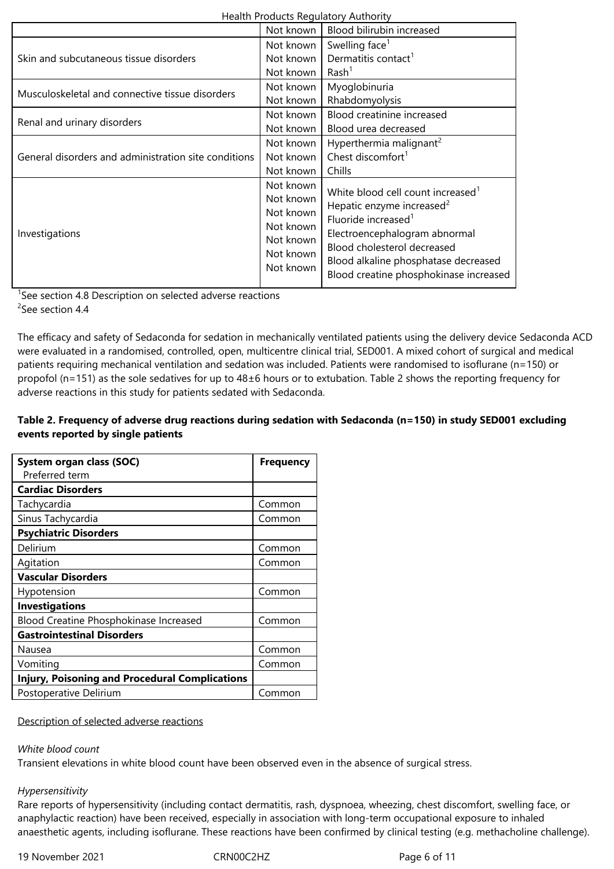| Health Products Regulatory Authority                 |                                                                                         |                                                                                                                                                                                                                                                                             |  |  |
|------------------------------------------------------|-----------------------------------------------------------------------------------------|-----------------------------------------------------------------------------------------------------------------------------------------------------------------------------------------------------------------------------------------------------------------------------|--|--|
|                                                      | Not known                                                                               | Blood bilirubin increased                                                                                                                                                                                                                                                   |  |  |
| Skin and subcutaneous tissue disorders               | Not known<br>Not known<br>Not known                                                     | Swelling face <sup>1</sup><br>Dermatitis contact <sup>1</sup><br>Rash <sup>1</sup>                                                                                                                                                                                          |  |  |
| Musculoskeletal and connective tissue disorders      | Not known<br>Not known                                                                  | Myoglobinuria<br>Rhabdomyolysis                                                                                                                                                                                                                                             |  |  |
| Renal and urinary disorders                          | Not known<br>Not known                                                                  | Blood creatinine increased<br>Blood urea decreased                                                                                                                                                                                                                          |  |  |
| General disorders and administration site conditions | Not known<br>Not known<br>Not known                                                     | Hyperthermia malignant <sup>2</sup><br>Chest discomfort $1$<br>Chills                                                                                                                                                                                                       |  |  |
| Investigations                                       | Not known<br>Not known<br>Not known<br>Not known<br>Not known<br>Not known<br>Not known | White blood cell count increased <sup>1</sup><br>Hepatic enzyme increased <sup>2</sup><br>Fluoride increased <sup>1</sup><br>Electroencephalogram abnormal<br>Blood cholesterol decreased<br>Blood alkaline phosphatase decreased<br>Blood creatine phosphokinase increased |  |  |

<sup>1</sup>See section 4.8 Description on selected adverse reactions <sup>2</sup>See section 4.4

The efficacy and safety of Sedaconda for sedation in mechanically ventilated patients using the delivery device Sedaconda ACD were evaluated in a randomised, controlled, open, multicentre clinical trial, SED001. A mixed cohort of surgical and medical patients requiring mechanical ventilation and sedation was included. Patients were randomised to isoflurane (n=150) or propofol (n=151) as the sole sedatives for up to 48±6 hours or to extubation. Table 2 shows the reporting frequency for adverse reactions in this study for patients sedated with Sedaconda.

## **Table 2. Frequency of adverse drug reactions during sedation with Sedaconda (n=150) in study SED001 excluding events reported by single patients**

| System organ class (SOC)                              | <b>Frequency</b> |
|-------------------------------------------------------|------------------|
| Preferred term                                        |                  |
| <b>Cardiac Disorders</b>                              |                  |
| Tachycardia                                           | Common           |
| Sinus Tachycardia                                     | Common           |
| <b>Psychiatric Disorders</b>                          |                  |
| Delirium                                              | Common           |
| Agitation                                             | Common           |
| <b>Vascular Disorders</b>                             |                  |
| Hypotension                                           | Common           |
| <b>Investigations</b>                                 |                  |
| Blood Creatine Phosphokinase Increased                | Common           |
| <b>Gastrointestinal Disorders</b>                     |                  |
| Nausea                                                | Common           |
| Vomiting                                              | Common           |
| <b>Injury, Poisoning and Procedural Complications</b> |                  |
| Postoperative Delirium                                | Common           |

Description of selected adverse reactions

## *White blood count*

Transient elevations in white blood count have been observed even in the absence of surgical stress.

## *Hypersensitivity*

Rare reports of hypersensitivity (including contact dermatitis, rash, dyspnoea, wheezing, chest discomfort, swelling face, or anaphylactic reaction) have been received, especially in association with long-term occupational exposure to inhaled anaesthetic agents, including isoflurane. These reactions have been confirmed by clinical testing (e.g. methacholine challenge).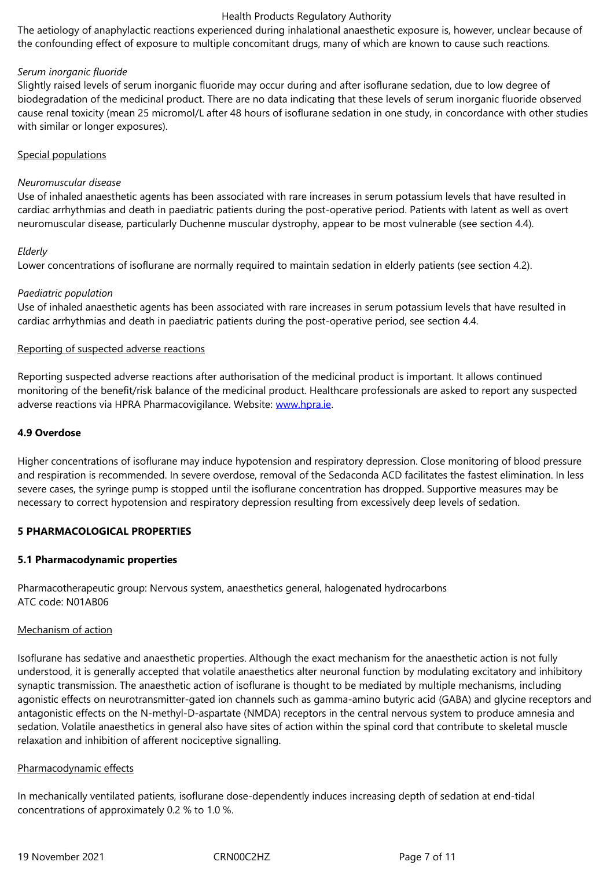## *Serum inorganic fluoride*

Slightly raised levels of serum inorganic fluoride may occur during and after isoflurane sedation, due to low degree of biodegradation of the medicinal product. There are no data indicating that these levels of serum inorganic fluoride observed cause renal toxicity (mean 25 micromol/L after 48 hours of isoflurane sedation in one study, in concordance with other studies with similar or longer exposures).

#### Special populations

#### *Neuromuscular disease*

Use of inhaled anaesthetic agents has been associated with rare increases in serum potassium levels that have resulted in cardiac arrhythmias and death in paediatric patients during the post-operative period. Patients with latent as well as overt neuromuscular disease, particularly Duchenne muscular dystrophy, appear to be most vulnerable (see section 4.4).

#### *Elderly*

Lower concentrations of isoflurane are normally required to maintain sedation in elderly patients (see section 4.2).

#### *Paediatric population*

Use of inhaled anaesthetic agents has been associated with rare increases in serum potassium levels that have resulted in cardiac arrhythmias and death in paediatric patients during the post-operative period, see section 4.4.

#### Reporting of suspected adverse reactions

Reporting suspected adverse reactions after authorisation of the medicinal product is important. It allows continued monitoring of the benefit/risk balance of the medicinal product. Healthcare professionals are asked to report any suspected adverse reactions via HPRA Pharmacovigilance. Website: www.hpra.ie.

#### **4.9 Overdose**

Higher concentrations of isoflurane may induce hypoten[sion and resp](http://www.hpra.ie/)iratory depression. Close monitoring of blood pressure and respiration is recommended. In severe overdose, removal of the Sedaconda ACD facilitates the fastest elimination. In less severe cases, the syringe pump is stopped until the isoflurane concentration has dropped. Supportive measures may be necessary to correct hypotension and respiratory depression resulting from excessively deep levels of sedation.

#### **5 PHARMACOLOGICAL PROPERTIES**

#### **5.1 Pharmacodynamic properties**

Pharmacotherapeutic group: Nervous system, anaesthetics general, halogenated hydrocarbons ATC code: N01AB06

#### Mechanism of action

Isoflurane has sedative and anaesthetic properties. Although the exact mechanism for the anaesthetic action is not fully understood, it is generally accepted that volatile anaesthetics alter neuronal function by modulating excitatory and inhibitory synaptic transmission. The anaesthetic action of isoflurane is thought to be mediated by multiple mechanisms, including agonistic effects on neurotransmitter-gated ion channels such as gamma-amino butyric acid (GABA) and glycine receptors and antagonistic effects on the N-methyl-D-aspartate (NMDA) receptors in the central nervous system to produce amnesia and sedation. Volatile anaesthetics in general also have sites of action within the spinal cord that contribute to skeletal muscle relaxation and inhibition of afferent nociceptive signalling.

#### Pharmacodynamic effects

In mechanically ventilated patients, isoflurane dose-dependently induces increasing depth of sedation at end-tidal concentrations of approximately 0.2 % to 1.0 %.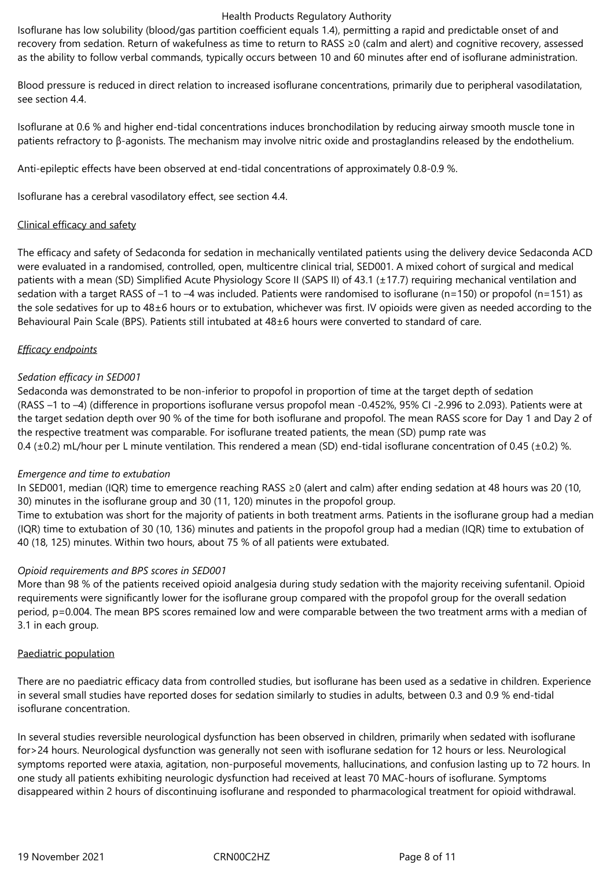Isoflurane has low solubility (blood/gas partition coefficient equals 1.4), permitting a rapid and predictable onset of and recovery from sedation. Return of wakefulness as time to return to RASS ≥0 (calm and alert) and cognitive recovery, assessed as the ability to follow verbal commands, typically occurs between 10 and 60 minutes after end of isoflurane administration.

Blood pressure is reduced in direct relation to increased isoflurane concentrations, primarily due to peripheral vasodilatation, see section 4.4.

Isoflurane at 0.6 % and higher end-tidal concentrations induces bronchodilation by reducing airway smooth muscle tone in patients refractory to β-agonists. The mechanism may involve nitric oxide and prostaglandins released by the endothelium.

Anti-epileptic effects have been observed at end-tidal concentrations of approximately 0.8-0.9 %.

Isoflurane has a cerebral vasodilatory effect, see section 4.4.

## Clinical efficacy and safety

The efficacy and safety of Sedaconda for sedation in mechanically ventilated patients using the delivery device Sedaconda ACD were evaluated in a randomised, controlled, open, multicentre clinical trial, SED001. A mixed cohort of surgical and medical patients with a mean (SD) Simplified Acute Physiology Score II (SAPS II) of 43.1 (±17.7) requiring mechanical ventilation and sedation with a target RASS of –1 to –4 was included. Patients were randomised to isoflurane (n=150) or propofol (n=151) as the sole sedatives for up to 48±6 hours or to extubation, whichever was first. IV opioids were given as needed according to the Behavioural Pain Scale (BPS). Patients still intubated at 48±6 hours were converted to standard of care.

## *Efficacy endpoints*

## *Sedation efficacy in SED001*

Sedaconda was demonstrated to be non-inferior to propofol in proportion of time at the target depth of sedation (RASS –1 to –4) (difference in proportions isoflurane versus propofol mean -0.452%, 95% CI -2.996 to 2.093). Patients were at the target sedation depth over 90 % of the time for both isoflurane and propofol. The mean RASS score for Day 1 and Day 2 of the respective treatment was comparable. For isoflurane treated patients, the mean (SD) pump rate was 0.4 ( $\pm$ 0.2) mL/hour per L minute ventilation. This rendered a mean (SD) end-tidal isoflurane concentration of 0.45 ( $\pm$ 0.2) %.

## *Emergence and time to extubation*

In SED001, median (IQR) time to emergence reaching RASS ≥0 (alert and calm) after ending sedation at 48 hours was 20 (10, 30) minutes in the isoflurane group and 30 (11, 120) minutes in the propofol group.

Time to extubation was short for the majority of patients in both treatment arms. Patients in the isoflurane group had a median (IQR) time to extubation of 30 (10, 136) minutes and patients in the propofol group had a median (IQR) time to extubation of 40 (18, 125) minutes. Within two hours, about 75 % of all patients were extubated.

#### *Opioid requirements and BPS scores in SED001*

More than 98 % of the patients received opioid analgesia during study sedation with the majority receiving sufentanil. Opioid requirements were significantly lower for the isoflurane group compared with the propofol group for the overall sedation period, p=0.004. The mean BPS scores remained low and were comparable between the two treatment arms with a median of 3.1 in each group.

#### Paediatric population

There are no paediatric efficacy data from controlled studies, but isoflurane has been used as a sedative in children. Experience in several small studies have reported doses for sedation similarly to studies in adults, between 0.3 and 0.9 % end-tidal isoflurane concentration.

In several studies reversible neurological dysfunction has been observed in children, primarily when sedated with isoflurane for>24 hours. Neurological dysfunction was generally not seen with isoflurane sedation for 12 hours or less. Neurological symptoms reported were ataxia, agitation, non-purposeful movements, hallucinations, and confusion lasting up to 72 hours. In one study all patients exhibiting neurologic dysfunction had received at least 70 MAC-hours of isoflurane. Symptoms disappeared within 2 hours of discontinuing isoflurane and responded to pharmacological treatment for opioid withdrawal.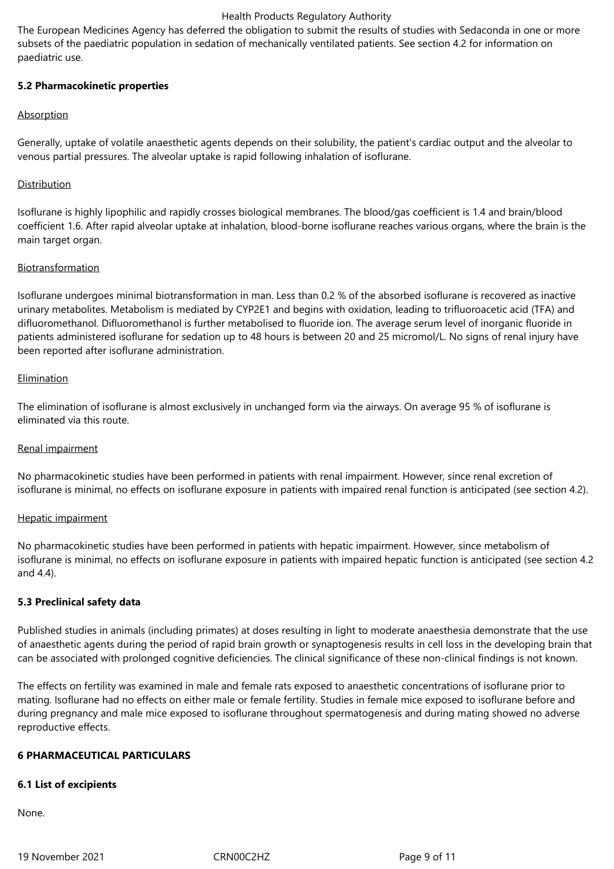The European Medicines Agency has deferred the obligation to submit the results of studies with Sedaconda in one or more subsets of the paediatric population in sedation of mechanically ventilated patients. See section 4.2 for information on paediatric use.

## **5.2 Pharmacokinetic properties**

## **Absorption**

Generally, uptake of volatile anaesthetic agents depends on their solubility, the patient's cardiac output and the alveolar to venous partial pressures. The alveolar uptake is rapid following inhalation of isoflurane.

## **Distribution**

Isoflurane is highly lipophilic and rapidly crosses biological membranes. The blood/gas coefficient is 1.4 and brain/blood coefficient 1.6. After rapid alveolar uptake at inhalation, blood-borne isoflurane reaches various organs, where the brain is the main target organ.

## Biotransformation

Isoflurane undergoes minimal biotransformation in man. Less than 0.2 % of the absorbed isoflurane is recovered as inactive urinary metabolites. Metabolism is mediated by CYP2E1 and begins with oxidation, leading to trifluoroacetic acid (TFA) and difluoromethanol. Difluoromethanol is further metabolised to fluoride ion. The average serum level of inorganic fluoride in patients administered isoflurane for sedation up to 48 hours is between 20 and 25 micromol/L. No signs of renal injury have been reported after isoflurane administration.

## Elimination

The elimination of isoflurane is almost exclusively in unchanged form via the airways. On average 95 % of isoflurane is eliminated via this route.

## Renal impairment

No pharmacokinetic studies have been performed in patients with renal impairment. However, since renal excretion of isoflurane is minimal, no effects on isoflurane exposure in patients with impaired renal function is anticipated (see section 4.2).

## Hepatic impairment

No pharmacokinetic studies have been performed in patients with hepatic impairment. However, since metabolism of isoflurane is minimal, no effects on isoflurane exposure in patients with impaired hepatic function is anticipated (see section 4.2 and 4.4).

#### **5.3 Preclinical safety data**

Published studies in animals (including primates) at doses resulting in light to moderate anaesthesia demonstrate that the use of anaesthetic agents during the period of rapid brain growth or synaptogenesis results in cell loss in the developing brain that can be associated with prolonged cognitive deficiencies. The clinical significance of these non-clinical findings is not known.

The effects on fertility was examined in male and female rats exposed to anaesthetic concentrations of isoflurane prior to mating. Isoflurane had no effects on either male or female fertility. Studies in female mice exposed to isoflurane before and during pregnancy and male mice exposed to isoflurane throughout spermatogenesis and during mating showed no adverse reproductive effects.

## **6 PHARMACEUTICAL PARTICULARS**

## **6.1 List of excipients**

None.